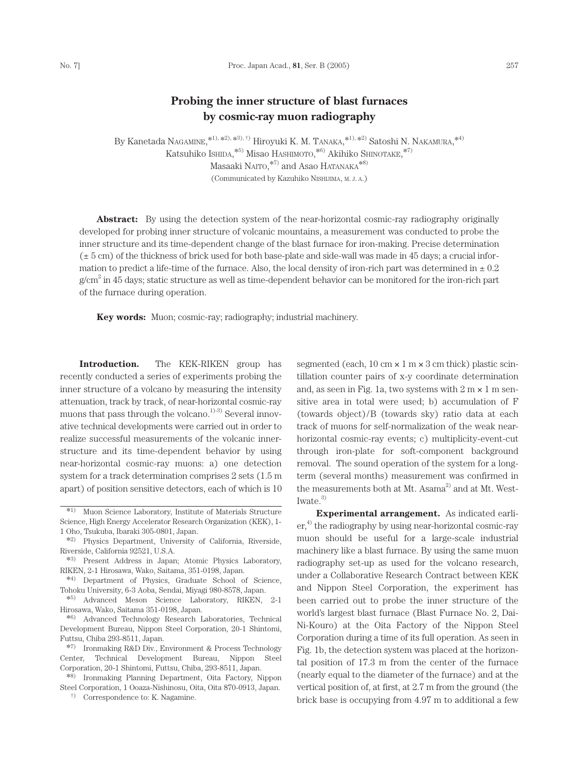## **Probing the inner structure of blast furnaces by cosmic-ray muon radiography**

By Kanetada NAGAMINE,  $*1, *2, *3, *1$  Hiroyuki K. M. TANAKA,  $*1, *2$  Satoshi N. NAKAMURA,  $*4$ Katsuhiko Ishida,  $^{*5)}$ Misao Hashimoto,  $^{*6)}$  Akihiko Shinotake,  $^{*7)}$ Masaaki NAITO,\*7) and Asao HATANAKA\*8) (Communicated by Kazuhiko NISHIJIMA, M. J. A.)

**Abstract:** By using the detection system of the near-horizontal cosmic-ray radiography originally developed for probing inner structure of volcanic mountains, a measurement was conducted to probe the inner structure and its time-dependent change of the blast furnace for iron-making. Precise determination  $(\pm 5 \text{ cm})$  of the thickness of brick used for both base-plate and side-wall was made in 45 days; a crucial information to predict a life-time of the furnace. Also, the local density of iron-rich part was determined in  $\pm 0.2$  $g/cm<sup>2</sup>$  in 45 days; static structure as well as time-dependent behavior can be monitored for the iron-rich part of the furnace during operation.

**Key words:** Muon; cosmic-ray; radiography; industrial machinery.

**Introduction.** The KEK-RIKEN group has recently conducted a series of experiments probing the inner structure of a volcano by measuring the intensity attenuation, track by track, of near-horizontal cosmic-ray muons that pass through the volcano.<sup>1)-3)</sup> Several innovative technical developments were carried out in order to realize successful measurements of the volcanic innerstructure and its time-dependent behavior by using near-horizontal cosmic-ray muons: a) one detection system for a track determination comprises 2 sets (1.5 m apart) of position sensitive detectors, each of which is 10

\*7) Ironmaking R&D Div., Environment & Process Technology Center, Technical Development Bureau, Nippon Steel Corporation, 20-1 Shintomi, Futtsu, Chiba, 293-8511, Japan.

\*8) Ironmaking Planning Department, Oita Factory, Nippon Steel Corporation, 1 Ooaza-Nishinosu, Oita, Oita 870-0913, Japan.

†) Correspondence to: K. Nagamine.

segmented (each,  $10 \text{ cm} \times 1 \text{ m} \times 3 \text{ cm}$  thick) plastic scintillation counter pairs of x-y coordinate determination and, as seen in Fig. 1a, two systems with  $2 \text{ m} \times 1 \text{ m}$  sensitive area in total were used; b) accumulation of F (towards object)/B (towards sky) ratio data at each track of muons for self-normalization of the weak nearhorizontal cosmic-ray events; c) multiplicity-event-cut through iron-plate for soft-component background removal. The sound operation of the system for a longterm (several months) measurement was confirmed in the measurements both at Mt. Asama $^{2)}$  and at Mt. West-Iwate. $3)$ 

**Experimental arrangement.** As indicated earli $er<sub>1</sub><sup>4</sup>$ , the radiography by using near-horizontal cosmic-ray muon should be useful for a large-scale industrial machinery like a blast furnace. By using the same muon radiography set-up as used for the volcano research, under a Collaborative Research Contract between KEK and Nippon Steel Corporation, the experiment has been carried out to probe the inner structure of the world's largest blast furnace (Blast Furnace No. 2, Dai-Ni-Kouro) at the Oita Factory of the Nippon Steel Corporation during a time of its full operation. As seen in Fig. 1b, the detection system was placed at the horizontal position of 17.3 m from the center of the furnace (nearly equal to the diameter of the furnace) and at the vertical position of, at first, at 2.7 m from the ground (the brick base is occupying from 4.97 m to additional a few

<sup>\*1)</sup> Muon Science Laboratory, Institute of Materials Structure Science, High Energy Accelerator Research Organization (KEK), 1- 1 Oho, Tsukuba, Ibaraki 305-0801, Japan.

<sup>\*2)</sup> Physics Department, University of California, Riverside, Riverside, California 92521, U.S.A.

<sup>\*3)</sup> Present Address in Japan; Atomic Physics Laboratory, RIKEN, 2-1 Hirosawa, Wako, Saitama, 351-0198, Japan.

<sup>\*4)</sup> Department of Physics, Graduate School of Science, Tohoku University, 6-3 Aoba, Sendai, Miyagi 980-8578, Japan.

<sup>\*5)</sup> Advanced Meson Science Laboratory, RIKEN, 2-1 Hirosawa, Wako, Saitama 351-0198, Japan.

<sup>\*6)</sup> Advanced Technology Research Laboratories, Technical Development Bureau, Nippon Steel Corporation, 20-1 Shintomi, Futtsu, Chiba 293-8511, Japan.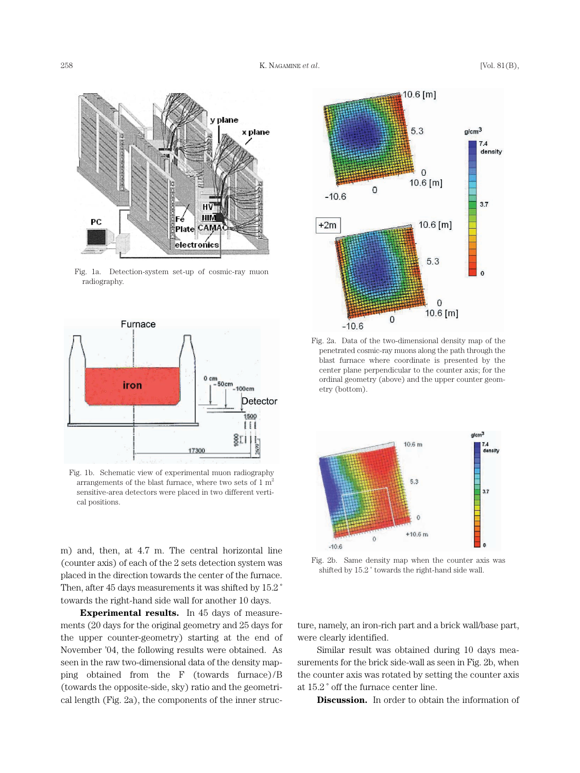

Fig. 1a. Detection-system set-up of cosmic-ray muon radiography.



Fig. 1b. Schematic view of experimental muon radiography arrangements of the blast furnace, where two sets of  $1 \text{ m}^2$ sensitive-area detectors were placed in two different vertical positions.

m) and, then, at 4.7 m. The central horizontal line (counter axis) of each of the 2 sets detection system was placed in the direction towards the center of the furnace. Then, after 45 days measurements it was shifted by 15.2 ˚ towards the right-hand side wall for another 10 days.

**Experimental results.** In 45 days of measurements (20 days for the original geometry and 25 days for the upper counter-geometry) starting at the end of November '04, the following results were obtained. As seen in the raw two-dimensional data of the density mapping obtained from the F (towards furnace)/B (towards the opposite-side, sky) ratio and the geometrical length (Fig. 2a), the components of the inner struc-



Fig. 2a. Data of the two-dimensional density map of the penetrated cosmic-ray muons along the path through the blast furnace where coordinate is presented by the center plane perpendicular to the counter axis; for the ordinal geometry (above) and the upper counter geometry (bottom).



Fig. 2b. Same density map when the counter axis was shifted by 15.2 ˚ towards the right-hand side wall.

ture, namely, an iron-rich part and a brick wall/base part, were clearly identified.

Similar result was obtained during 10 days measurements for the brick side-wall as seen in Fig. 2b, when the counter axis was rotated by setting the counter axis at 15.2 ˚ off the furnace center line.

**Discussion.** In order to obtain the information of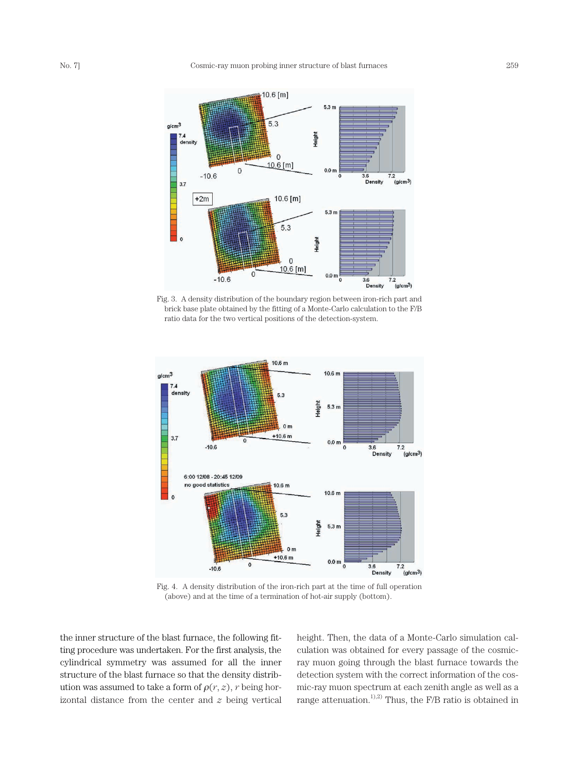

Fig. 3. A density distribution of the boundary region between iron-rich part and brick base plate obtained by the fitting of a Monte-Carlo calculation to the F/B ratio data for the two vertical positions of the detection-system.



Fig. 4. A density distribution of the iron-rich part at the time of full operation (above) and at the time of a termination of hot-air supply (bottom).

the inner structure of the blast furnace, the following fitting procedure was undertaken. For the first analysis, the cylindrical symmetry was assumed for all the inner structure of the blast furnace so that the density distribution was assumed to take a form of  $\rho(r, z)$ , r being horizontal distance from the center and  $z$  being vertical height. Then, the data of a Monte-Carlo simulation calculation was obtained for every passage of the cosmicray muon going through the blast furnace towards the detection system with the correct information of the cosmic-ray muon spectrum at each zenith angle as well as a range attenuation.<sup>1),2)</sup> Thus, the F/B ratio is obtained in